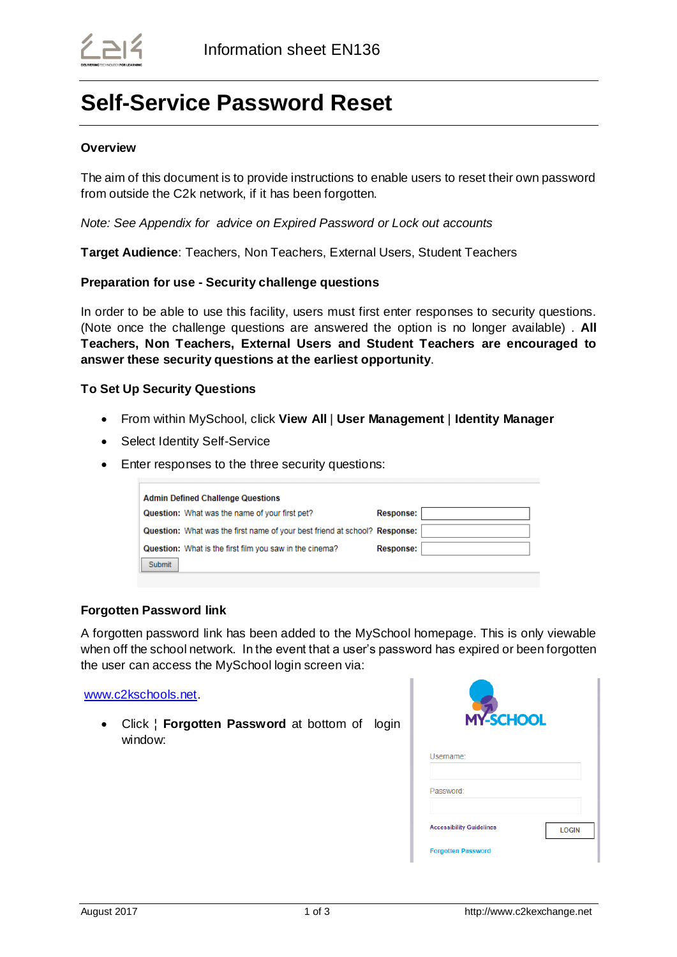# **Self-Service Password Reset**

## **Overview**

The aim of this document is to provide instructions to enable users to reset their own password from outside the C2k network, if it has been forgotten.

*Note: See Appendix for advice on Expired Password or Lock out accounts*

**Target Audience**: Teachers, Non Teachers, External Users, Student Teachers

## **Preparation for use - Security challenge questions**

In order to be able to use this facility, users must first enter responses to security questions. (Note once the challenge questions are answered the option is no longer available) . **All Teachers, Non Teachers, External Users and Student Teachers are encouraged to answer these security questions at the earliest opportunity**.

## **To Set Up Security Questions**

- From within MySchool, click **View All** | **User Management** | **Identity Manager**
- Select Identity Self-Service
- Enter responses to the three security questions:

| <b>Admin Defined Challenge Questions</b>                                   |                  |  |
|----------------------------------------------------------------------------|------------------|--|
| Question: What was the name of your first pet?                             | <b>Response:</b> |  |
| Question: What was the first name of your best friend at school? Response: |                  |  |
| Question: What is the first film you saw in the cinema?                    | <b>Response:</b> |  |
| Submit                                                                     |                  |  |

#### **Forgotten Password link**

A forgotten password link has been added to the MySchool homepage. This is only viewable when off the school network. In the event that a user's password has expired or been forgotten the user can access the MySchool login screen via:

[www.c2kschools.net.](http://www.c2kschools.net/)

 Click ¦ **Forgotten Password** at bottom of login window:

| <b>MY-SCHOOL</b>                |              |
|---------------------------------|--------------|
| Username:                       |              |
| Password:                       |              |
| <b>Accessibility Guidelines</b> | <b>LOGIN</b> |
| <b>Forgotten Password</b>       |              |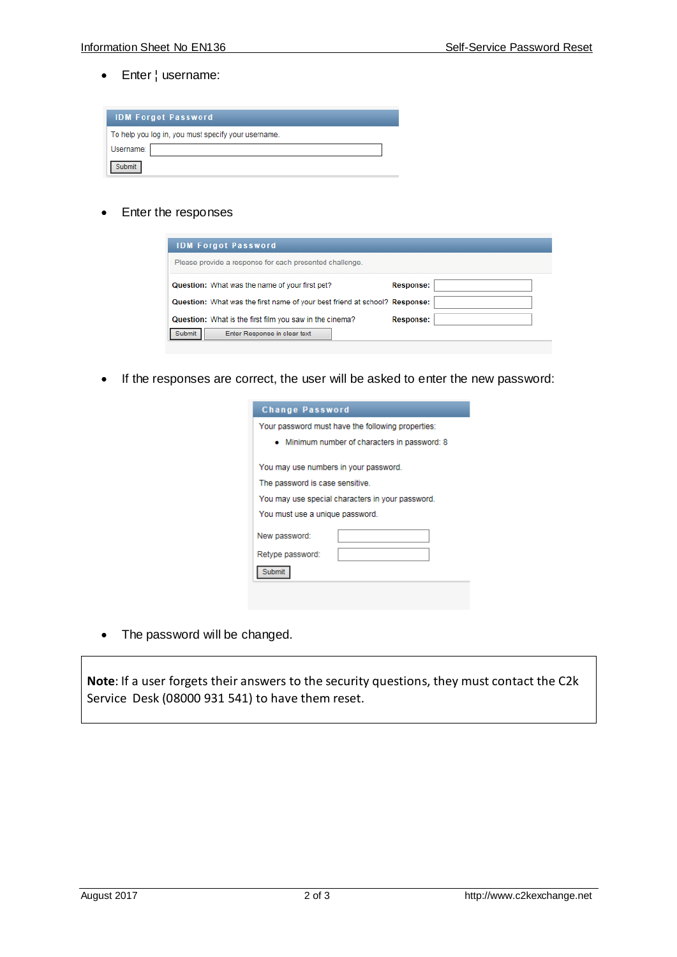Enter ¦ username:

|           | <b>IDM Forgot Password</b>                          |  |
|-----------|-----------------------------------------------------|--|
|           | To help you log in, you must specify your username. |  |
| Username: |                                                     |  |
| ubmit     |                                                     |  |

• Enter the responses

| <b>IDM Forgot Password</b>                                                 |                  |
|----------------------------------------------------------------------------|------------------|
| Please provide a response for each presented challenge.                    |                  |
| Question: What was the name of your first pet?                             | <b>Response:</b> |
| Question: What was the first name of your best friend at school? Response: |                  |
| Question: What is the first film you saw in the cinema?                    | <b>Response:</b> |
| Enter Response in clear text                                               |                  |

If the responses are correct, the user will be asked to enter the new password:

| <b>Change Password</b>                            |
|---------------------------------------------------|
| Your password must have the following properties: |
| • Minimum number of characters in password: 8     |
| You may use numbers in your password.             |
| The password is case sensitive.                   |
| You may use special characters in your password.  |
| You must use a unique password.                   |
| New password:                                     |
| Retype password:                                  |
| Submit                                            |
|                                                   |

• The password will be changed.

**Note**: If a user forgets their answers to the security questions, they must contact the C2k Service Desk (08000 931 541) to have them reset.